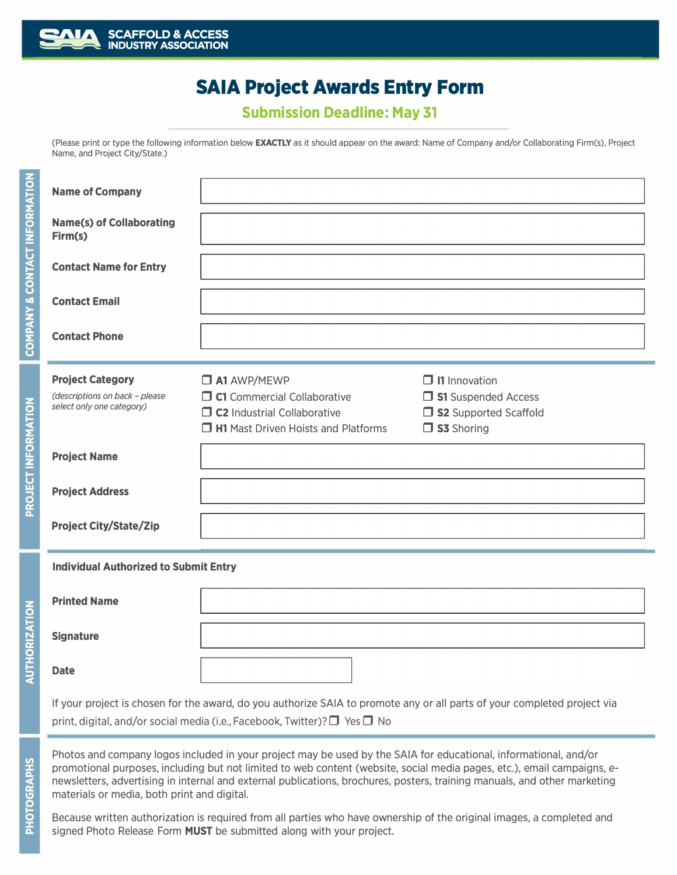

# **SAIA Project Awards Entry Form**

**Submission Deadline: May 31**

(Please print or type the following information below **EXACTLY** as it should appear on the award: Name of Company and/or Collaborating Firm(s), Project Name, and Project City/State.)

| <b>Name of Company</b>                                                                                                                                                                                                                                                                                                                                                                                                  |                                                                                                                                              |                                                                                             |
|-------------------------------------------------------------------------------------------------------------------------------------------------------------------------------------------------------------------------------------------------------------------------------------------------------------------------------------------------------------------------------------------------------------------------|----------------------------------------------------------------------------------------------------------------------------------------------|---------------------------------------------------------------------------------------------|
| <b>Name(s) of Collaborating</b><br>Firm(s)                                                                                                                                                                                                                                                                                                                                                                              |                                                                                                                                              |                                                                                             |
| <b>Contact Name for Entry</b>                                                                                                                                                                                                                                                                                                                                                                                           |                                                                                                                                              |                                                                                             |
| <b>Contact Email</b>                                                                                                                                                                                                                                                                                                                                                                                                    |                                                                                                                                              |                                                                                             |
| <b>Contact Phone</b>                                                                                                                                                                                                                                                                                                                                                                                                    |                                                                                                                                              |                                                                                             |
| <b>Project Category</b><br>(descriptions on back - please<br>select only one category)                                                                                                                                                                                                                                                                                                                                  | $\Box$ A1 AWP/MEWP<br>$\Box$ C1 Commercial Collaborative<br>$\Box$ C2 Industrial Collaborative<br>$\Box$ H1 Mast Driven Hoists and Platforms | $\Box$ I1 Innovation<br>S1 Suspended Access<br>□ S2 Supported Scaffold<br>$\Box$ S3 Shoring |
| <b>Project Name</b>                                                                                                                                                                                                                                                                                                                                                                                                     |                                                                                                                                              |                                                                                             |
| <b>Project Address</b>                                                                                                                                                                                                                                                                                                                                                                                                  |                                                                                                                                              |                                                                                             |
| <b>Project City/State/Zip</b>                                                                                                                                                                                                                                                                                                                                                                                           |                                                                                                                                              |                                                                                             |
| <b>Individual Authorized to Submit Entry</b>                                                                                                                                                                                                                                                                                                                                                                            |                                                                                                                                              |                                                                                             |
| <b>Printed Name</b>                                                                                                                                                                                                                                                                                                                                                                                                     |                                                                                                                                              |                                                                                             |
| <b>Signature</b>                                                                                                                                                                                                                                                                                                                                                                                                        |                                                                                                                                              |                                                                                             |
| <b>Date</b>                                                                                                                                                                                                                                                                                                                                                                                                             |                                                                                                                                              |                                                                                             |
| If your project is chosen for the award, do you authorize SAIA to promote any or all parts of your completed project via<br>print, digital, and/or social media (i.e., Facebook, Twitter)? $\Box$ Yes $\Box$ No                                                                                                                                                                                                         |                                                                                                                                              |                                                                                             |
| Photos and company logos included in your project may be used by the SAIA for educational, informational, and/or<br>promotional purposes, including but not limited to web content (website, social media pages, etc.), email campaigns, e-<br>newsletters, advertising in internal and external publications, brochures, posters, training manuals, and other marketing<br>materials or media, both print and digital. |                                                                                                                                              |                                                                                             |

Because written authorization is required from all parties who have ownership of the original images, a completed and signed Photo Release Form MUST be submitted along with your project.

**PHOTOGRAPHS**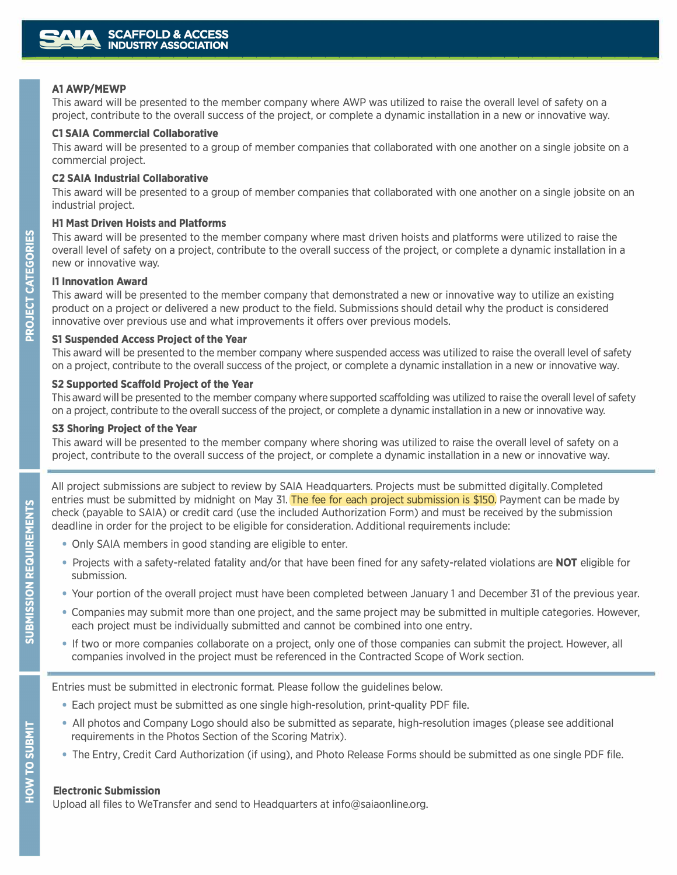### **AlAWP/MEWP**

This award will be presented to the member company where AWP was utilized to raise the overall level of safety on a project, contribute to the overall success of the project, or complete a dynamic installation in a new or innovative way.

#### **Cl SAIA Commercial Collaborative**

This award will be presented to a group of member companies that collaborated with one another on a single jobsite on a commercial project.

#### **C2 SAIA Industrial Collaborative**

This award will be presented to a group of member companies that collaborated with one another on a single jobsite on an industrial project.

#### **Hl Mast Driven Hoists and Platforms**

This award will be presented to the member company where mast driven hoists and platforms were utilized to raise the overall level of safety on a project, contribute to the overall success of the project, or complete a dynamic installation in a new or innovative way.

#### **11 Innovation Award**

This award will be presented to the member company that demonstrated a new or innovative way to utilize an existing product on a project or delivered a new product to the field. Submissions should detail why the product is considered innovative over previous use and what improvements it offers over previous models.

#### **Sl Suspended Access Project of the Year**

This award will be presented to the member company where suspended access was utilized to raise the overall level of safety on a project, contribute to the overall success of the project, or complete a dynamic installation in a new or innovative way.

#### **S2 Supported Scaffold Project of the Year**

This award will be presented to the member company where supported scaffolding was utilized to raise the overall level of safety on a project, contribute to the overall success of the project, or complete a dynamic installation in a new or innovative way.

#### **S3 Shoring Project of the Year**

This award will be presented to the member company where shoring was utilized to raise the overall level of safety on a project, contribute to the overall success of the project, or complete a dynamic installation in a new or innovative way.

All project submissions are subject to review by SAIA Headquarters. Projects must be submitted digitally. Completed entries must be submitted by midnight on May 31. The fee for each project submission is \$150. Payment can be made by check (payable to SAIA) or credit card (use the included Authorization Form) and must be received by the submission deadline in order for the project to be eligible for consideration. Additional requirements include:

- Only SAIA members in good standing are eligible to enter.
- Projects with a safety-related fatality and/or that have been fined for any safety-related violations are NOT eligible for submission.
- Your portion of the overall project must have been completed between January 1 and December 31 of the previous year.
- Companies may submit more than one project, and the same project may be submitted in multiple categories. However, each project must be individually submitted and cannot be combined into one entry.
- If two or more companies collaborate on a project, only one of those companies can submit the project. However, all companies involved in the project must be referenced in the Contracted Scope of Work section.

Entries must be submitted in electronic format. Please follow the guidelines below.

- Each project must be submitted as one single high-resolution, print-quality PDF file.
- All photos and Company Logo should also be submitted as separate, high-resolution images (please see additional requirements in the Photos Section of the Scoring Matrix).
- The Entry, Credit Card Authorization (if using), and Photo Release Forms should be submitted as one single PDF file.

### **E1ectronic Submission**

Upload all files to WeTransfer and send to Headquarters at info@saiaonline.org.

ၯူ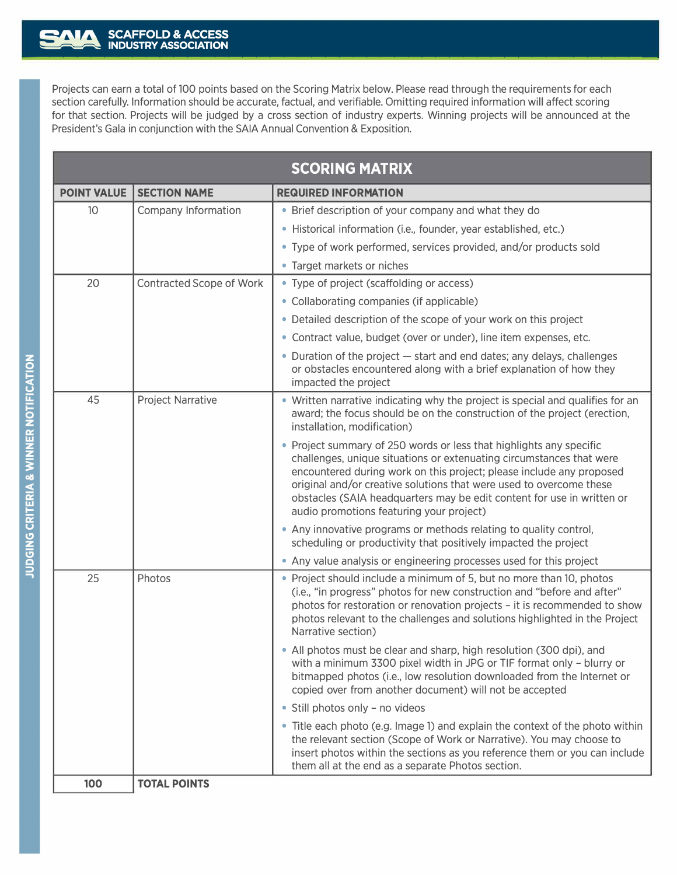Projects can earn a total of 100 points based on the Scoring Matrix below. Please read through the requirements for each section carefully. Information should be accurate, factual, and verifiable. Omitting required information will affect scoring for that section. Projects will be judged by a cross section of industry experts. Winning projects will be announced at the President's Gala in conjunction with the SAIA Annual Convention & Exposition.

| <b>SCORING MATRIX</b> |                                 |                                                                                                                                                                                                                                                                                                                                                                                                                  |
|-----------------------|---------------------------------|------------------------------------------------------------------------------------------------------------------------------------------------------------------------------------------------------------------------------------------------------------------------------------------------------------------------------------------------------------------------------------------------------------------|
| <b>POINT VALUE</b>    | <b>SECTION NAME</b>             | <b>REQUIRED INFORMATION</b>                                                                                                                                                                                                                                                                                                                                                                                      |
| 10 <sup>°</sup>       | Company Information             | • Brief description of your company and what they do                                                                                                                                                                                                                                                                                                                                                             |
|                       |                                 | · Historical information (i.e., founder, year established, etc.)                                                                                                                                                                                                                                                                                                                                                 |
|                       |                                 | • Type of work performed, services provided, and/or products sold                                                                                                                                                                                                                                                                                                                                                |
|                       |                                 | • Target markets or niches                                                                                                                                                                                                                                                                                                                                                                                       |
| 20                    | <b>Contracted Scope of Work</b> | • Type of project (scaffolding or access)                                                                                                                                                                                                                                                                                                                                                                        |
|                       |                                 | • Collaborating companies (if applicable)                                                                                                                                                                                                                                                                                                                                                                        |
|                       |                                 | • Detailed description of the scope of your work on this project                                                                                                                                                                                                                                                                                                                                                 |
|                       |                                 | • Contract value, budget (over or under), line item expenses, etc.                                                                                                                                                                                                                                                                                                                                               |
|                       |                                 | • Duration of the project - start and end dates; any delays, challenges<br>or obstacles encountered along with a brief explanation of how they<br>impacted the project                                                                                                                                                                                                                                           |
| 45                    | <b>Project Narrative</b>        | • Written narrative indicating why the project is special and qualifies for an<br>award; the focus should be on the construction of the project (erection,<br>installation, modification)                                                                                                                                                                                                                        |
|                       |                                 | • Project summary of 250 words or less that highlights any specific<br>challenges, unique situations or extenuating circumstances that were<br>encountered during work on this project; please include any proposed<br>original and/or creative solutions that were used to overcome these<br>obstacles (SAIA headquarters may be edit content for use in written or<br>audio promotions featuring your project) |
|                       |                                 | • Any innovative programs or methods relating to quality control,<br>scheduling or productivity that positively impacted the project                                                                                                                                                                                                                                                                             |
|                       |                                 | • Any value analysis or engineering processes used for this project                                                                                                                                                                                                                                                                                                                                              |
| 25                    | Photos                          | • Project should include a minimum of 5, but no more than 10, photos<br>(i.e., "in progress" photos for new construction and "before and after"<br>photos for restoration or renovation projects - it is recommended to show<br>photos relevant to the challenges and solutions highlighted in the Project<br>Narrative section)                                                                                 |
|                       |                                 | • All photos must be clear and sharp, high resolution (300 dpi), and<br>with a minimum 3300 pixel width in JPG or TIF format only - blurry or<br>bitmapped photos (i.e., low resolution downloaded from the Internet or<br>copied over from another document) will not be accepted                                                                                                                               |
|                       |                                 | • Still photos only - no videos                                                                                                                                                                                                                                                                                                                                                                                  |
|                       |                                 | • Title each photo (e.g. Image 1) and explain the context of the photo within<br>the relevant section (Scope of Work or Narrative). You may choose to<br>insert photos within the sections as you reference them or you can include<br>them all at the end as a separate Photos section.                                                                                                                         |
| 100                   | <b>TOTAL POINTS</b>             |                                                                                                                                                                                                                                                                                                                                                                                                                  |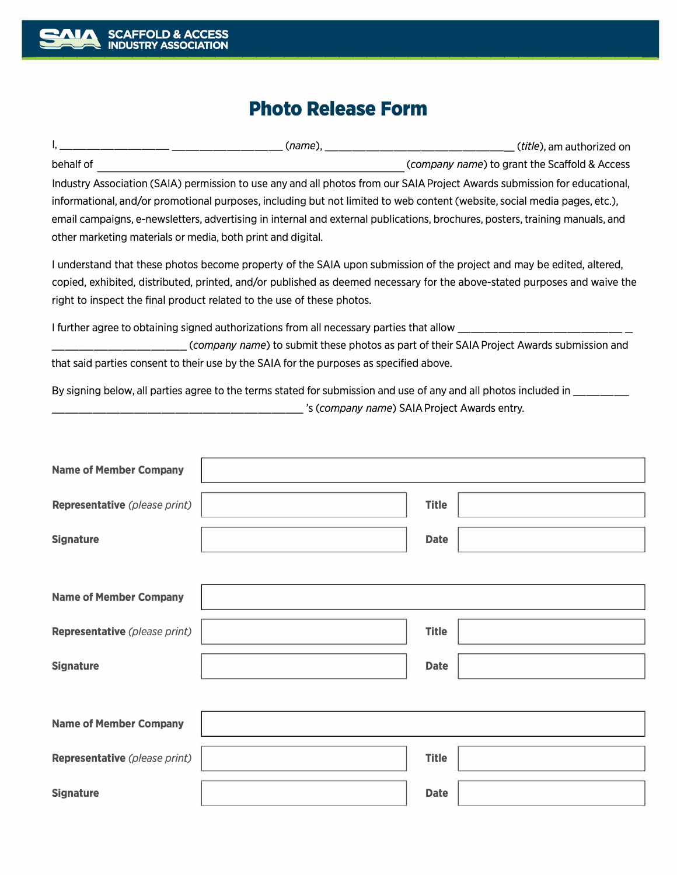## **Photo Release Form**

| (name).                                                                                                                      | ( <i>title</i> ), am authorized on            |  |
|------------------------------------------------------------------------------------------------------------------------------|-----------------------------------------------|--|
| behalf of                                                                                                                    | (company name) to grant the Scaffold & Access |  |
| Industry Association (SAIA) permission to use any and all photos from our SAIA Project Awards submission for educational,    |                                               |  |
| informational, and/or promotional purposes, including but not limited to web content (website, social media pages, etc.),    |                                               |  |
| email campaigns, e-newsletters, advertising in internal and external publications, brochures, posters, training manuals, and |                                               |  |
| other marketing materials or media, both print and digital.                                                                  |                                               |  |

I understand that these photos become property of the SAIA upon submission of the project and may be edited, altered, copied, exhibited, distributed, printed, and/or published as deemed necessary for the above-stated purposes and waive the right to inspect the final product related to the use of these photos.

I further agree to obtaining signed authorizations from all necessary parties that allow \_\_\_\_

\_\_\_\_\_\_\_\_\_\_ *(company name)* to submit these photos as part of their SAIA Project Awards submission and that said parties consent to their use by the SAIA for the purposes as specified above.

By signing below, all parties agree to the terms stated for submission and use of any and all photos included in \_\_\_\_\_\_\_\_

\_\_\_\_\_\_\_\_\_\_\_\_\_\_\_\_\_\_ 's *(company name)* SAIA Project Awards entry.

| <b>Name of Member Company</b> |              |  |
|-------------------------------|--------------|--|
| Representative (please print) | <b>Title</b> |  |
| <b>Signature</b>              | <b>Date</b>  |  |
|                               |              |  |
| <b>Name of Member Company</b> |              |  |
| Representative (please print) | <b>Title</b> |  |
| <b>Signature</b>              | <b>Date</b>  |  |
|                               |              |  |
| <b>Name of Member Company</b> |              |  |
| Representative (please print) | <b>Title</b> |  |
| <b>Signature</b>              | <b>Date</b>  |  |